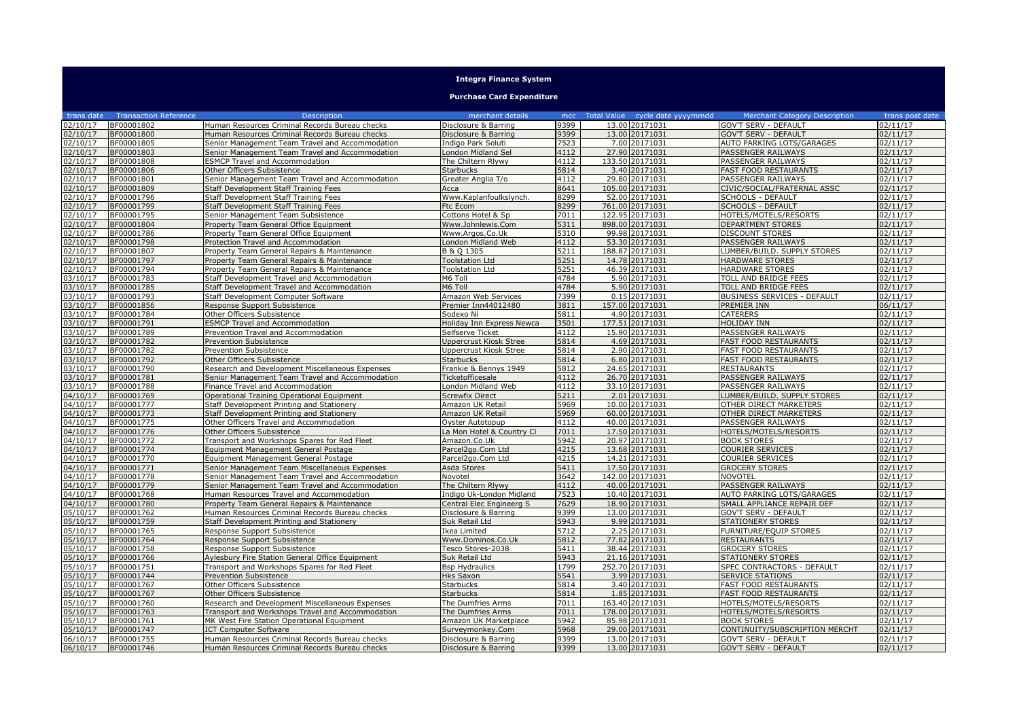| <b>Integra Finance System</b>    |                              |                                                                               |                                           |              |  |                                  |                                                    |                       |
|----------------------------------|------------------------------|-------------------------------------------------------------------------------|-------------------------------------------|--------------|--|----------------------------------|----------------------------------------------------|-----------------------|
| <b>Purchase Card Expenditure</b> |                              |                                                                               |                                           |              |  |                                  |                                                    |                       |
| trans date                       | <b>Transaction Reference</b> | <b>Description</b>                                                            | merchant details                          | mcc          |  | Total Value cycle date yyyymmdd  | <b>Merchant Category Description</b>               | trans post date       |
| 02/10/17                         | BF00001802                   | Human Resources Criminal Records Bureau checks                                | Disclosure & Barring                      | 9399         |  | 13.00 20171031                   | <b>GOV'T SERV - DEFAULT</b>                        | 02/11/17              |
| 02/10/17                         | BF00001800                   | Human Resources Criminal Records Bureau checks                                | Disclosure & Barring                      | 9399         |  | 13.00 20171031                   | <b>GOV'T SERV - DEFAULT</b>                        | 02/11/17              |
| 02/10/17                         | BF00001805                   | Senior Management Team Travel and Accommodation                               | Indigo Park Soluti                        | 7523         |  | 7.00 20171031                    | AUTO PARKING LOTS/GARAGES                          | 02/11/17              |
| 02/10/17                         | BF00001803<br>BF00001808     | Senior Management Team Travel and Accommodation                               | London Midland Sel                        | 4112<br>4112 |  | 27.90 20171031                   | PASSENGER RAILWAYS                                 | 02/11/17              |
| 02/10/17<br>02/10/17             | BF00001806                   | <b>ESMCP Travel and Accommodation</b>                                         | The Chiltern Rlywy<br><b>Starbucks</b>    | 5814         |  | 133.50 20171031<br>3.40 20171031 | PASSENGER RAILWAYS<br><b>FAST FOOD RESTAURANTS</b> | 02/11/17<br>02/11/17  |
| 02/10/17                         | BF00001801                   | Other Officers Subsistence<br>Senior Management Team Travel and Accommodation | Greater Anglia T/o                        | 4112         |  | 29.80 20171031                   | PASSENGER RAILWAYS                                 | 02/11/17              |
| 02/10/17                         | BF00001809                   | Staff Development Staff Training Fees                                         | Acca                                      | 8641         |  | 105.00 20171031                  | CIVIC/SOCIAL/FRATERNAL ASSC                        | 02/11/17              |
| 02/10/17                         | BF00001796                   | Staff Development Staff Training Fees                                         | Www.Kaplanfoulkslynch.                    | 8299         |  | 52.00 20171031                   | <b>SCHOOLS - DEFAULT</b>                           | 02/11/17              |
| 02/10/17                         | BF00001799                   | Staff Development Staff Training Fees                                         | Ftc Ecom                                  | 8299         |  | 761.00 20171031                  | SCHOOLS - DEFAULT                                  | 02/11/17              |
| 02/10/17                         | BF00001795                   | Senior Management Team Subsistence                                            | Cottons Hotel & Sp                        | 7011         |  | 122.95 20171031                  | HOTELS/MOTELS/RESORTS                              | 02/11/17              |
| 02/10/17                         | BF00001804                   | Property Team General Office Equipment                                        | Www.Johnlewis.Com                         | 5311         |  | 898.00 20171031                  | DEPARTMENT STORES                                  | 02/11/17              |
| 02/10/17                         | BF00001786                   | Property Team General Office Equipment                                        | Www.Argos.Co.Uk                           | 5310         |  | 99.98 20171031                   | <b>DISCOUNT STORES</b>                             | 02/11/17              |
| 02/10/17                         | BF00001798                   | Protection Travel and Accommodation                                           | London Midland Web                        | 4112         |  | 53.30 20171031                   | PASSENGER RAILWAYS                                 | 02/11/17              |
| 02/10/17                         | BF00001807                   | Property Team General Repairs & Maintenance                                   | B & Q 1305                                | 5211         |  | 188.87 20171031                  | LUMBER/BUILD. SUPPLY STORES                        | 02/11/17              |
| 02/10/17                         | BF00001797                   | Property Team General Repairs & Maintenance                                   | <b>Toolstation Ltd</b>                    | 5251         |  | 14.78 20171031                   | <b>HARDWARE STORES</b>                             | 02/11/17              |
| 02/10/17                         | BF00001794                   | Property Team General Repairs & Maintenance                                   | <b>Toolstation Ltd</b>                    | 5251         |  | 46.39 20171031                   | <b>HARDWARE STORES</b>                             | 02/11/17              |
| 03/10/17                         | BF00001783                   | Staff Development Travel and Accommodation                                    | M6 Toll                                   | 4784         |  | 5.90 20171031                    | TOLL AND BRIDGE FEES                               | 02/11/17              |
| 03/10/17                         | BF00001785                   | Staff Development Travel and Accommodation                                    | M6 Toll                                   | 4784         |  | 5.90 20171031                    | TOLL AND BRIDGE FEES                               | 02/11/17              |
| 03/10/17                         | BF00001793                   | <b>Staff Development Computer Software</b>                                    | Amazon Web Services                       | 7399         |  | 0.15 20171031                    | <b>BUSINESS SERVICES - DEFAULT</b>                 | 02/11/17              |
| 03/10/17                         | BF00001856                   | Response Support Subsistence                                                  | Premier Inn44012480                       | 3811         |  | 157.00 20171031                  | PREMIER INN                                        | 06/11/17              |
| 03/10/17                         | BF00001784                   | Other Officers Subsistence                                                    | Sodexo Ni                                 | 5811         |  | 4.90 20171031                    | <b>CATERERS</b>                                    | 02/11/17              |
| 03/10/17                         | BF00001791                   | <b>ESMCP Travel and Accommodation</b>                                         | Holiday Inn Express Newca                 | 3501         |  | 177.51 20171031                  | <b>HOLIDAY INN</b>                                 | 02/11/17              |
| 03/10/17                         | BF00001789                   | Prevention Travel and Accommodation                                           | Selfserve Ticket                          | 4112         |  | 15.90 20171031                   | PASSENGER RAILWAYS                                 | 02/11/17              |
| 03/10/17                         | BF00001782                   | <b>Prevention Subsistence</b>                                                 | Uppercrust Kiosk Stree                    | 5814<br>5814 |  | 4.69 20171031                    | <b>FAST FOOD RESTAURANTS</b>                       | 02/11/17              |
| 03/10/17<br>03/10/17             | BF00001782<br>BF00001792     | Prevention Subsistence                                                        | <b>Uppercrust Kiosk Stree</b>             | 5814         |  | 2.90 20171031<br>6.80 20171031   | <b>FAST FOOD RESTAURANTS</b>                       | 02/11/17<br>02/11/17  |
| 03/10/17                         | BF00001790                   | Other Officers Subsistence<br>Research and Development Miscellaneous Expenses | <b>Starbucks</b><br>Frankie & Bennys 1949 | 5812         |  | 24.65 20171031                   | <b>FAST FOOD RESTAURANTS</b><br><b>RESTAURANTS</b> | 02/11/17              |
| 03/10/17                         | BF00001781                   | Senior Management Team Travel and Accommodation                               | Ticketofficesale                          | 4112         |  | 26.70 20171031                   | PASSENGER RAILWAYS                                 | 02/11/17              |
| 03/10/17                         | BF00001788                   | Finance Travel and Accommodation                                              | ondon Midland Web                         | 4112         |  | 33.10 20171031                   | PASSENGER RAILWAYS                                 | 02/11/17              |
| 04/10/17                         | BF00001769                   | Operational Training Operational Equipment                                    | Screwfix Direct                           | 5211         |  | 2.01 20171031                    | LUMBER/BUILD. SUPPLY STORES                        | 02/11/17              |
| 04/10/17                         | BF00001777                   | Staff Development Printing and Stationery                                     | Amazon UK Retail                          | 5969         |  | 10.00 20171031                   | OTHER DIRECT MARKETERS                             | 02/11/17              |
| 04/10/17                         | BF00001773                   | Staff Development Printing and Stationery                                     | Amazon UK Retail                          | 5969         |  | 60.00 20171031                   | OTHER DIRECT MARKETERS                             | 02/11/17              |
| 04/10/17                         | BF00001775                   | Other Officers Travel and Accommodation                                       | Oyster Autotopup                          | 4112         |  | 40.00 20171031                   | PASSENGER RAILWAYS                                 | 02/11/17              |
| 04/10/17                         | BF00001776                   | Other Officers Subsistence                                                    | La Mon Hotel & Country Cl                 | 7011         |  | 17.50 20171031                   | HOTELS/MOTELS/RESORTS                              | 02/11/17              |
| 04/10/17                         | BF00001772                   | Transport and Workshops Spares for Red Fleet                                  | Amazon.Co.Uk                              | 5942         |  | 20.97 20171031                   | <b>BOOK STORES</b>                                 | $02/11/\overline{17}$ |
| 04/10/17                         | BF00001774                   | Equipment Management General Postage                                          | Parcel2go.Com Ltd                         | 4215         |  | 13.68 20171031                   | COURIER SERVICES                                   | 02/11/17              |
| 04/10/17                         | BF00001770                   | Equipment Management General Postage                                          | Parcel2go.Com Ltd                         | 4215         |  | 14.21 20171031                   | COURIER SERVICES                                   | 02/11/17              |
| 04/10/17                         | BF00001771                   | Senior Management Team Miscellaneous Expenses                                 | Asda Stores                               | 5411         |  | 17.50 20171031                   | <b>GROCERY STORES</b>                              | 02/11/17              |
| 04/10/17                         | BF00001778                   | Senior Management Team Travel and Accommodation                               | Novotel                                   | 3642         |  | 142.00 20171031                  | <b>NOVOTEL</b>                                     | 02/11/17              |
| 04/10/17                         | BF00001779                   | Senior Management Team Travel and Accommodation                               | The Chiltern Rlvwy                        | 4112         |  | 40.00 20171031                   | PASSENGER RAILWAYS                                 | 02/11/17              |
| 04/10/17                         | BF00001768                   | Human Resources Travel and Accommodation                                      | Indigo Uk-London Midland                  | 7523         |  | 10.40 20171031                   | AUTO PARKING LOTS/GARAGES                          | 02/11/17              |
| 04/10/17                         | BF00001780                   | Property Team General Repairs & Maintenance                                   | Central Elec Engineerg S                  | 7629         |  | 18.90 20171031                   | SMALL APPLIANCE REPAIR DEF                         | 02/11/17              |
| 05/10/17                         | BF00001762                   | Human Resources Criminal Records Bureau checks                                | Disclosure & Barring                      | 9399         |  | 13.00 20171031                   | GOV'T SERV - DEFAULT                               | 02/11/17              |
| 05/10/17                         | BF00001759                   | Staff Development Printing and Stationery                                     | Suk Retail Ltd                            | 5943<br>5712 |  | 9.99 20171031<br>2.25 20171031   | <b>STATIONERY STORES</b>                           | 02/11/17              |
| 05/10/17<br>05/10/17             | BF00001765<br>BF00001764     | Response Support Subsistence<br>Response Support Subsistence                  | Ikea Limited<br>Www.Dominos.Co.Uk         | 5812         |  | 77.82 20171031                   | FURNITURE/EQUIP STORES<br><b>RESTAURANTS</b>       | 02/11/17<br>02/11/17  |
| 05/10/17                         | BF00001758                   | Response Support Subsistence                                                  | Tesco Stores-2038                         | 5411         |  | 38.44 20171031                   | <b>GROCERY STORES</b>                              | 02/11/17              |
| 05/10/17                         | BF00001766                   | Aylesbury Fire Station General Office Equipment                               | Suk Retail Ltd                            | 5943         |  | 21.16 20171031                   | <b>STATIONERY STORES</b>                           | 02/11/17              |
| 05/10/17                         | BF00001751                   | Transport and Workshops Spares for Red Fleet                                  | <b>Bsp Hydraulics</b>                     | 1799         |  | 252.70 20171031                  | SPEC CONTRACTORS - DEFAULT                         | 02/11/17              |
| 05/10/17                         | BF00001744                   | Prevention Subsistence                                                        | <b>Hks Saxon</b>                          | 5541         |  | 3.99 20171031                    | <b>SERVICE STATIONS</b>                            | 02/11/17              |
| 05/10/17                         | BF00001767                   | Other Officers Subsistence                                                    | Starbucks                                 | 5814         |  | 3.40 20171031                    | <b>FAST FOOD RESTAURANTS</b>                       | $\sqrt{02}/11/17$     |
| 05/10/17                         | BF00001767                   | Other Officers Subsistence                                                    | <b>Starbucks</b>                          | 5814         |  | 1.85 20171031                    | <b>FAST FOOD RESTAURANTS</b>                       | 02/11/17              |
| 05/10/17                         | BF00001760                   | Research and Development Miscellaneous Expenses                               | The Dumfries Arms                         | 7011         |  | 163.40 20171031                  | HOTELS/MOTELS/RESORTS                              | 02/11/17              |
| 05/10/17                         | BF00001763                   | Transport and Workshops Travel and Accommodation                              | The Dumfries Arms                         | 7011         |  | 178.00 20171031                  | HOTELS/MOTELS/RESORTS                              | 02/11/17              |
| 05/10/17                         | BF00001761                   | MK West Fire Station Operational Equipment                                    | Amazon UK Marketplace                     | 5942         |  | 85.98 20171031                   | <b>BOOK STORES</b>                                 | 02/11/17              |
| 05/10/17                         | BF00001747                   | <b>ICT Computer Software</b>                                                  | Surveymonkey.Com                          | 5968         |  | 29.00 20171031                   | CONTINUITY/SUBSCRIPTION MERCHT                     | 02/11/17              |
| 06/10/17                         | BF00001755                   | Human Resources Criminal Records Bureau checks                                | Disclosure & Barring                      | 9399         |  | 13.00 20171031                   | <b>GOV'T SERV - DEFAULT</b>                        | 02/11/17              |
| 06/10/17                         | BF00001746                   | Human Resources Criminal Records Bureau checks                                | Disclosure & Barring                      | 9399         |  | 13.00 20171031                   | <b>GOV'T SERV - DEFAULT</b>                        | 02/11/17              |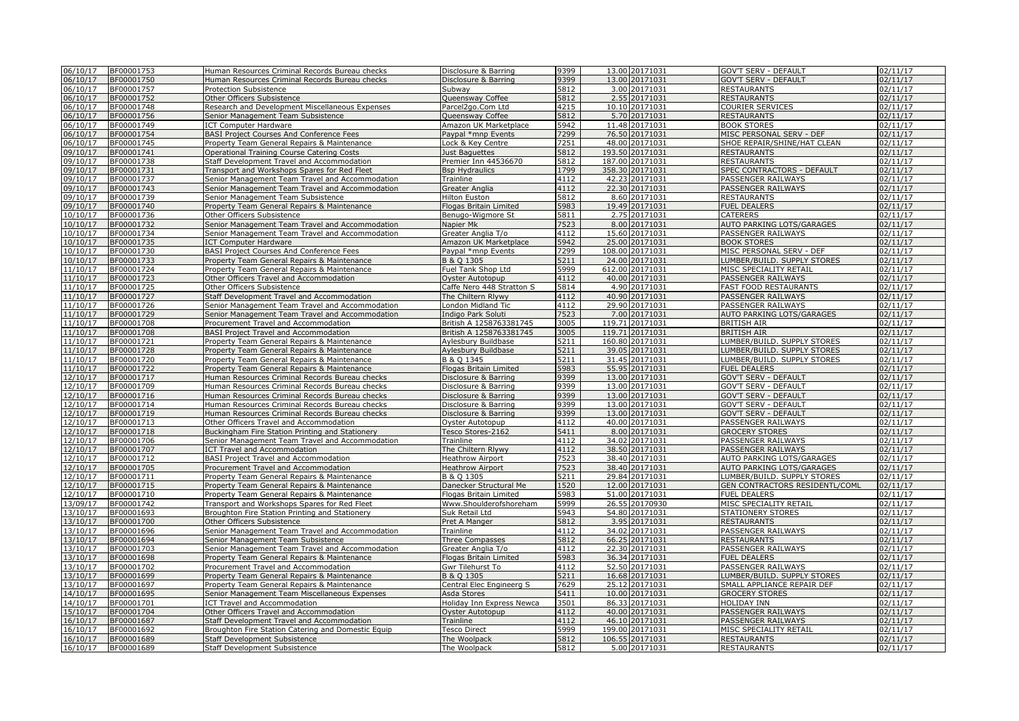| 06/10/17 | BF00001753 | Human Resources Criminal Records Bureau checks     | Disclosure & Barring      | 9399             | 13.00 20171031  | <b>GOV'T SERV - DEFAULT</b>    | 02/11/17             |
|----------|------------|----------------------------------------------------|---------------------------|------------------|-----------------|--------------------------------|----------------------|
| 06/10/17 | BF00001750 | Human Resources Criminal Records Bureau checks     | Disclosure & Barring      | 9399             | 13.00 20171031  | <b>GOV'T SERV - DEFAULT</b>    | 02/11/17             |
| 06/10/17 | BF00001757 | Protection Subsistence                             | Subway                    | 5812             | 3.00 20171031   | <b>RESTAURANTS</b>             | 02/11/17             |
| 06/10/17 | BF00001752 | Other Officers Subsistence                         | Queensway Coffee          | 5812             | 2.55 20171031   | <b>RESTAURANTS</b>             | 02/11/17             |
| 06/10/17 | BF00001748 | Research and Development Miscellaneous Expenses    | Parcel2go.Com Ltd         | 4215             | 10.10 20171031  | <b>COURIER SERVICES</b>        | 02/11/17             |
| 06/10/17 | BF00001756 | Senior Management Team Subsistence                 | Queensway Coffee          | 5812             | 5.70 20171031   | <b>RESTAURANTS</b>             | 02/11/17             |
| 06/10/17 | BF00001749 | <b>ICT Computer Hardware</b>                       | Amazon UK Marketplace     | 5942             | 11.48 20171031  | <b>BOOK STORES</b>             | 02/11/17             |
| 06/10/17 | BF00001754 | <b>BASI Project Courses And Conference Fees</b>    | Paypal *mnp Events        | 7299             | 76.50 20171031  | MISC PERSONAL SERV - DEF       | 02/11/17             |
| 06/10/17 | BF00001745 | Property Team General Repairs & Maintenance        | Lock & Key Centre         | 7251             | 48.00 20171031  | SHOE REPAIR/SHINE/HAT CLEAN    | 02/11/17             |
| 09/10/17 | BF00001741 | Operational Training Course Catering Costs         | lust Baquettes            | 5812             | 193.50 20171031 | <b>RESTAURANTS</b>             | 02/11/17             |
| 09/10/17 | BF00001738 | Staff Development Travel and Accommodation         | Premier Inn 44536670      | 5812             | 187.00 20171031 | <b>RESTAURANTS</b>             | 02/11/17             |
| 09/10/17 | BF00001731 | Transport and Workshops Spares for Red Fleet       | <b>Bsp Hydraulics</b>     | 1799             | 358.30 20171031 | SPEC CONTRACTORS - DEFAULT     | 02/11/17             |
| 09/10/17 | BF00001737 | Senior Management Team Travel and Accommodation    | Trainline                 | 4112             | 42.23 20171031  | PASSENGER RAILWAYS             | 02/11/17             |
| 09/10/17 | BF00001743 | Senior Management Team Travel and Accommodation    | Greater Anglia            | 4112             | 22.30 20171031  | PASSENGER RAILWAYS             | 02/11/17             |
| 09/10/17 | BF00001739 | Senior Management Team Subsistence                 | <b>Hilton Euston</b>      | 5812             | 8.60 20171031   | <b>RESTAURANTS</b>             | 02/11/17             |
| 09/10/17 | BF00001740 | Property Team General Repairs & Maintenance        | Flogas Britain Limited    | 5983             | 19.49 20171031  | <b>FUEL DEALERS</b>            | 02/11/17             |
| 10/10/17 | BF00001736 | Other Officers Subsistence                         | Benugo-Wigmore St         | 5811             | 2.75 20171031   | <b>CATERERS</b>                | 02/11/17             |
|          |            |                                                    |                           |                  |                 |                                |                      |
| 10/10/17 | BF00001732 | Senior Management Team Travel and Accommodation    | Napier Mk                 | 7523             | 8.00 20171031   | AUTO PARKING LOTS/GARAGES      | 02/11/17             |
| 10/10/17 | BF00001734 | Senior Management Team Travel and Accommodation    | Greater Anglia T/o        | 4112             | 15.60 20171031  | PASSENGER RAILWAYS             | 02/11/17             |
| 10/10/17 | BF00001735 | <b>ICT Computer Hardware</b>                       | Amazon UK Marketplace     | 5942             | 25.00 20171031  | <b>BOOK STORES</b>             | 02/11/17             |
| 10/10/17 | BF00001730 | BASI Project Courses And Conference Fees           | Pavpal *mnp Events        | 7299             | 108.00 20171031 | MISC PERSONAL SERV - DEF       | 02/11/17             |
| 10/10/17 | BF00001733 | Property Team General Repairs & Maintenance        | B & Q 1305                | 5211             | 24.00 20171031  | LUMBER/BUILD. SUPPLY STORES    | 02/11/17             |
| 11/10/17 | BF00001724 | Property Team General Repairs & Maintenance        | Fuel Tank Shop Ltd        | 5999             | 612.00 20171031 | MISC SPECIALITY RETAIL         | 02/11/17             |
| 11/10/17 | BF00001723 | Other Officers Travel and Accommodation            | Oyster Autotopup          | 4112             | 40.00 20171031  | PASSENGER RAILWAYS             | 02/11/17             |
| 11/10/17 | BF00001725 | Other Officers Subsistence                         | Caffe Nero 448 Stratton S | 5814             | 4.90 20171031   | <b>FAST FOOD RESTAURANTS</b>   | 02/11/17             |
| 11/10/17 | BF00001727 | Staff Development Travel and Accommodation         | The Chiltern Rlywy        | 4112             | 40.90 20171031  | PASSENGER RAILWAYS             | 02/11/17             |
| 11/10/17 | BF00001726 | Senior Management Team Travel and Accommodation    | London Midland Tic        | 4112             | 29.90 20171031  | PASSENGER RAILWAYS             | 02/11/17             |
| 11/10/17 | BF00001729 | Senior Management Team Travel and Accommodation    | Indigo Park Soluti        | 7523             | 7.00 20171031   | AUTO PARKING LOTS/GARAGES      | 02/11/17             |
| 11/10/17 | BF00001708 | Procurement Travel and Accommodation               | British A 1258763381745   | 3005             | 119.71 20171031 | <b>BRITISH AIR</b>             | $\frac{1}{02}/11/17$ |
| 11/10/17 | BF00001708 | <b>BASI Project Travel and Accommodation</b>       | British A 1258763381745   | 3005             | 119.71 20171031 | <b>BRITISH AIR</b>             | 02/11/17             |
| 11/10/17 | BF00001721 | Property Team General Repairs & Maintenance        | Aylesbury Buildbase       | 5211             | 160.80 20171031 | LUMBER/BUILD. SUPPLY STORES    | 02/11/17             |
| 11/10/17 | BF00001728 | Property Team General Repairs & Maintenance        | Aylesbury Buildbase       | 5211             | 39.05 20171031  | LUMBER/BUILD. SUPPLY STORES    | 02/11/17             |
| 11/10/17 | BF00001720 | Property Team General Repairs & Maintenance        | B & O 1345                | 5211             | 31.45 20171031  | LUMBER/BUILD. SUPPLY STORES    | 02/11/17             |
| 11/10/17 | BF00001722 | Property Team General Repairs & Maintenance        | Flogas Britain Limited    | 5983             | 55.95 20171031  | <b>FUEL DEALERS</b>            | 02/11/17             |
| 12/10/17 | BF00001717 | Human Resources Criminal Records Bureau checks     | Disclosure & Barring      | 9399             | 13.00 20171031  | <b>GOV'T SERV - DEFAULT</b>    | 02/11/17             |
| 12/10/17 | BF00001709 | Human Resources Criminal Records Bureau checks     | Disclosure & Barring      | 9399             | 13.00 20171031  | <b>GOV'T SERV - DEFAULT</b>    | 02/11/17             |
| 12/10/17 | BF00001716 | Human Resources Criminal Records Bureau checks     | Disclosure & Barring      | 9399             | 13.00 20171031  | <b>GOV'T SERV - DEFAULT</b>    | 02/11/17             |
| 12/10/17 | BF00001714 | Human Resources Criminal Records Bureau checks     | Disclosure & Barring      | 9399             | 13.00 20171031  | <b>GOV'T SERV - DEFAULT</b>    | 02/11/17             |
| 12/10/17 | BF00001719 | Human Resources Criminal Records Bureau checks     | Disclosure & Barring      | 9399             | 13.00 20171031  | <b>GOV'T SERV - DEFAULT</b>    | 02/11/17             |
| 12/10/17 | BF00001713 | Other Officers Travel and Accommodation            | Oyster Autotopup          | 4112             | 40.00 20171031  | PASSENGER RAILWAYS             | 02/11/17             |
| 12/10/17 | BF00001718 | Buckingham Fire Station Printing and Stationery    | Tesco Stores-2162         | 5411             | 8.00 20171031   | <b>GROCERY STORES</b>          | 02/11/17             |
| 12/10/17 | BF00001706 | Senior Management Team Travel and Accommodation    | Trainline                 | 4112             | 34.02 20171031  | PASSENGER RAILWAYS             | 02/11/17             |
| 12/10/17 | BF00001707 | <b>ICT Travel and Accommodation</b>                | The Chiltern Rlywy        | 4112             | 38.50 20171031  | PASSENGER RAILWAYS             | 02/11/17             |
| 12/10/17 | BF00001712 | BASI Project Travel and Accommodation              | <b>Heathrow Airport</b>   | 7523             | 38.40 20171031  | AUTO PARKING LOTS/GARAGES      | 02/11/17             |
| 12/10/17 | BF00001705 | Procurement Travel and Accommodation               | <b>Heathrow Airport</b>   | 7523             | 38.40 20171031  | AUTO PARKING LOTS/GARAGES      | 02/11/17             |
| 12/10/17 | BF00001711 | Property Team General Repairs & Maintenance        | B & O 1305                | $\frac{1}{2211}$ | 29.84 20171031  | LUMBER/BUILD, SUPPLY STORES    | 02/11/17             |
|          |            |                                                    |                           |                  |                 |                                |                      |
| 12/10/17 | BF00001715 | Property Team General Repairs & Maintenance        | Danecker Structural Me    | 1520             | 12.00 20171031  | GEN CONTRACTORS RESIDENTL/COML | 02/11/17             |
| 12/10/17 | BF00001710 | Property Team General Repairs & Maintenance        | Flogas Britain Limited    | 5983             | 51.00 20171031  | <b>FUEL DEALERS</b>            | 02/11/17             |
| 13/09/17 | BF00001742 | Transport and Workshops Spares for Red Fleet       | Www.Shoulderofshoreham    | 5999             | 26.55 20170930  | MISC SPECIALITY RETAIL         | 02/11/17             |
| 13/10/17 | BF00001693 | Broughton Fire Station Printing and Stationery     | Suk Retail Ltd            | 5943             | 54.80 20171031  | STATIONERY STORES              | 02/11/17             |
| 13/10/17 | BF00001700 | Other Officers Subsistence                         | Pret A Manger             | 5812             | 3.95 20171031   | <b>RESTAURANTS</b>             | 02/11/17             |
| 13/10/17 | BF00001696 | Senior Management Team Travel and Accommodation    | Trainline                 | 4112             | 34.02 20171031  | PASSENGER RAILWAYS             | 02/11/17             |
| 13/10/17 | BF00001694 | Senior Management Team Subsistence                 | <b>Three Compasses</b>    | 5812             | 66.25 20171031  | <b>RESTAURANTS</b>             | 02/11/17             |
| 13/10/17 | BF00001703 | Senior Management Team Travel and Accommodation    | Greater Anglia T/o        | 4112             | 22.30 20171031  | PASSENGER RAILWAYS             | 02/11/17             |
| 13/10/17 | BF00001698 | Property Team General Repairs & Maintenance        | Flogas Britain Limited    | 5983             | 36.34 20171031  | <b>FUEL DEALERS</b>            | 02/11/17             |
| 13/10/17 | BF00001702 | Procurement Travel and Accommodation               | Gwr Tilehurst To          | 4112             | 52.50 20171031  | PASSENGER RAILWAYS             | 02/11/17             |
| 13/10/17 | BF00001699 | Property Team General Repairs & Maintenance        | B & Q 1305                | 5211             | 16.68 20171031  | LUMBER/BUILD. SUPPLY STORES    | 02/11/17             |
| 13/10/17 | BF00001697 | Property Team General Repairs & Maintenance        | Central Elec Engineerg S  | 7629             | 25.12 20171031  | SMALL APPLIANCE REPAIR DEF     | 02/11/17             |
| 14/10/17 | BF00001695 | Senior Management Team Miscellaneous Expenses      | Asda Stores               | 5411             | 10.00 20171031  | <b>GROCERY STORES</b>          | 02/11/17             |
| 14/10/17 | BF00001701 | ICT Travel and Accommodation                       | Holiday Inn Express Newca | 3501             | 86.33 20171031  | <b>HOLIDAY INN</b>             | 02/11/17             |
| 15/10/17 | BF00001704 | Other Officers Travel and Accommodation            | Ovster Autotopup          | 4112             | 40.00 20171031  | PASSENGER RAILWAYS             | 02/11/17             |
| 16/10/17 | BF00001687 | Staff Development Travel and Accommodation         | Trainline                 | 4112             | 46.10 20171031  | PASSENGER RAILWAYS             | 02/11/17             |
| 16/10/17 | BF00001692 | Broughton Fire Station Catering and Domestic Equip | <b>Fesco Direct</b>       | 5999             | 199.00 20171031 | MISC SPECIALITY RETAIL         | 02/11/17             |
| 16/10/17 | BF00001689 | Staff Development Subsistence                      | The Woolpack              | 5812             | 106.55 20171031 | <b>RESTAURANTS</b>             | 02/11/17             |
| 16/10/17 | BF00001689 | Staff Development Subsistence                      | The Woolpack              | 5812             | 5.00 20171031   | <b>RESTAURANTS</b>             | 02/11/17             |
|          |            |                                                    |                           |                  |                 |                                |                      |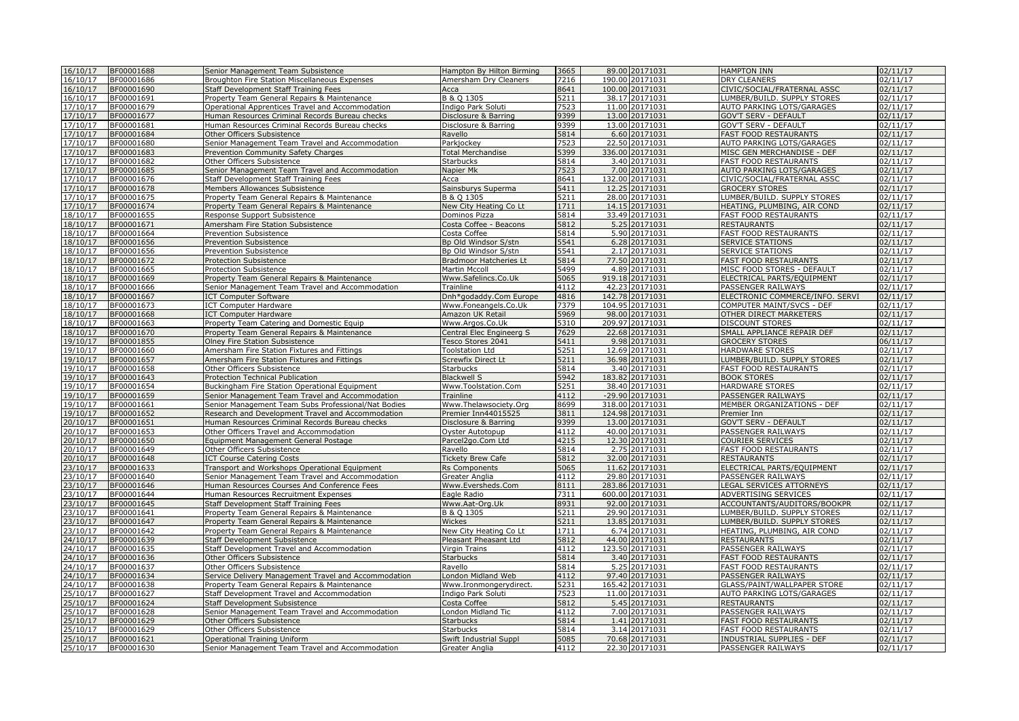| 16/10/17             | BF00001688               | Senior Management Team Subsistence                                                       | Hampton By Hilton Birming           | 3665         | 89.00 20171031                    | <b>HAMPTON INN</b>                               | 02/11/17             |
|----------------------|--------------------------|------------------------------------------------------------------------------------------|-------------------------------------|--------------|-----------------------------------|--------------------------------------------------|----------------------|
| 16/10/17             | BF00001686               | Broughton Fire Station Miscellaneous Expenses                                            | Amersham Dry Cleaners               | 7216         | 190.00 20171031                   | <b>DRY CLEANERS</b>                              | 02/11/17             |
| 16/10/17             | BF00001690               | Staff Development Staff Training Fees                                                    | Acca                                | 8641         | 100.00 20171031                   | CIVIC/SOCIAL/FRATERNAL ASSC                      | 02/11/17             |
| 16/10/17             | BF00001691               | Property Team General Repairs & Maintenance                                              | B & Q 1305                          | 5211         | 38.17 20171031                    | LUMBER/BUILD. SUPPLY STORES                      | 02/11/17             |
| 17/10/17             | BF00001679               | Operational Apprentices Travel and Accommodation                                         | Indigo Park Soluti                  | 7523         | 11.00 20171031                    | AUTO PARKING LOTS/GARAGES                        | 02/11/17             |
| 17/10/17             | BF00001677               | Human Resources Criminal Records Bureau checks                                           | Disclosure & Barring                | 9399         | 13.00 20171031                    | <b>GOV'T SERV - DEFAULT</b>                      | 02/11/17             |
| 17/10/17             | BF00001681               | Human Resources Criminal Records Bureau checks                                           | Disclosure & Barring                | 9399         | 13.00 20171031                    | GOV'T SERV - DEFAULT                             | 02/11/17             |
| 17/10/17             | BF00001684               | Other Officers Subsistence                                                               | Ravello                             | 5814         | 6.60 20171031                     | <b>FAST FOOD RESTAURANTS</b>                     | 02/11/17             |
| 17/10/17             | BF00001680               | Senior Management Team Travel and Accommodation                                          | Parkjockey                          | 7523         | 22.50 20171031                    | AUTO PARKING LOTS/GARAGES                        | 02/11/17             |
| 17/10/17             | BF00001683               | <b>Prevention Community Safety Charges</b>                                               | <b>Total Merchandise</b>            | 5399         | 336.00 20171031                   | MISC GEN MERCHANDISE - DEF                       | 02/11/17             |
| 17/10/17             | BF00001682               | Other Officers Subsistence                                                               | <b>Starbucks</b>                    | 5814         | 3.40 20171031                     | <b>FAST FOOD RESTAURANTS</b>                     | 02/11/17             |
| 17/10/17             | BF00001685               | Senior Management Team Travel and Accommodation                                          | Napier Mk                           | 7523         | 7.00 20171031                     | AUTO PARKING LOTS/GARAGES                        | 02/11/17             |
| 17/10/17             | BF00001676               | Staff Development Staff Training Fees                                                    | Acca                                | 8641         | 132.00 20171031                   | CIVIC/SOCIAL/FRATERNAL ASSC                      | 02/11/17             |
| 17/10/17             | BF00001678               | Members Allowances Subsistence                                                           | Sainsburys Superma                  | 5411         | 12.25 20171031                    | <b>GROCERY STORES</b>                            | 02/11/17             |
| 17/10/17             | BF00001675               | Property Team General Repairs & Maintenance                                              | B & O 1305                          | 5211         | 28.00 20171031                    | LUMBER/BUILD. SUPPLY STORES                      | 02/11/17             |
| 17/10/17             | BF00001674               | Property Team General Repairs & Maintenance                                              | New City Heating Co Lt              | 1711         | 14.15 20171031                    | HEATING, PLUMBING, AIR COND                      | 02/11/17             |
| 18/10/17             | BF00001655               | Response Support Subsistence                                                             | Dominos Pizza                       | 5814         | 33.49 20171031                    | <b>FAST FOOD RESTAURANTS</b>                     | $\sqrt{02}/11/17$    |
| 18/10/17             | BF00001671               | Amersham Fire Station Subsistence                                                        | Costa Coffee - Beacons              | 5812         | 5.25 20171031                     | <b>RESTAURANTS</b>                               | 02/11/17             |
| 18/10/17             | BF00001664               | Prevention Subsistence                                                                   | Costa Coffee                        | 5814         | 5.90 20171031                     | FAST FOOD RESTAURANTS                            | 02/11/17             |
| 18/10/17             | BF00001656               | Prevention Subsistence                                                                   | Bp Old Windsor S/stn                | 5541         | 6.28 20171031                     | <b>SERVICE STATIONS</b>                          | 02/11/17             |
| 18/10/17             | BF00001656               | Prevention Subsistence                                                                   | Bp Old Windsor S/stn                | 5541         | 2.17 20171031                     | <b>SERVICE STATIONS</b>                          | 02/11/17             |
| 18/10/17             | BF00001672               | <b>Protection Subsistence</b>                                                            | <b>Bradmoor Hatcheries Lt</b>       | 5814         | 77.50 20171031                    | <b>FAST FOOD RESTAURANTS</b>                     | 02/11/17             |
| 18/10/17             | BF00001665               | Protection Subsistence                                                                   | Martin Mccoll                       | 5499         | 4.89 20171031                     | MISC FOOD STORES - DEFAULT                       | 02/11/17             |
| 18/10/17             | BF00001669               | Property Team General Repairs & Maintenance                                              | Www.Safelincs.Co.Uk                 | 5065         | 919.18 20171031                   | ELECTRICAL PARTS/EQUIPMENT                       | 02/11/17             |
| 18/10/17             | BF00001666               | Senior Management Team Travel and Accommodation                                          | Trainline                           | 4112         | 42.23 20171031                    | PASSENGER RAILWAYS                               | 02/11/17             |
| 18/10/17             | BF00001667               | <b>ICT Computer Software</b>                                                             | Dnh*godaddy.Com Europe              | 4816<br>7379 | 142.78 20171031                   | ELECTRONIC COMMERCE/INFO. SERVI                  | 02/11/17<br>02/11/17 |
| 18/10/17<br>18/10/17 | BF00001673<br>BF00001668 | <b>ICT Computer Hardware</b>                                                             | Www.Foneangels.Co.Uk                | 5969         | 104.95 20171031<br>98.00 20171031 | COMPUTER MAINT/SVCS - DEF                        | 02/11/17             |
| 18/10/17             | BF00001663               | <b>ICT Computer Hardware</b>                                                             | Amazon UK Retail<br>Www.Argos.Co.Uk | 5310         | 209.97 20171031                   | OTHER DIRECT MARKETERS<br><b>DISCOUNT STORES</b> | 02/11/17             |
| 18/10/17             | BF00001670               | Property Team Catering and Domestic Equip<br>Property Team General Repairs & Maintenance | Central Elec Engineerg S            | 7629         | 22.68 20171031                    | SMALL APPLIANCE REPAIR DEF                       | 02/11/17             |
| 19/10/17             | BF00001855               | <b>Olney Fire Station Subsistence</b>                                                    | Tesco Stores 2041                   | 5411         | 9.98 20171031                     | <b>GROCERY STORES</b>                            | 06/11/17             |
| 19/10/17             | BF00001660               | Amersham Fire Station Fixtures and Fittings                                              | <b>Toolstation Ltd</b>              | 5251         | 12.69 20171031                    | HARDWARE STORES                                  | 02/11/17             |
| 19/10/17             | BF00001657               | Amersham Fire Station Fixtures and Fittings                                              | <b>Screwfix Direct Lt</b>           | 5211         | 36.98 20171031                    | LUMBER/BUILD. SUPPLY STORES                      | 02/11/17             |
| 19/10/17             | BF00001658               | Other Officers Subsistence                                                               | Starbucks                           | 5814         | 3.40 20171031                     | FAST FOOD RESTAURANTS                            | 02/11/17             |
| 19/10/17             | BF00001643               | Protection Technical Publication                                                         | <b>Blackwell S</b>                  | 5942         | 183.82 20171031                   | <b>BOOK STORES</b>                               | 02/11/17             |
| 19/10/17             | BF00001654               | Buckingham Fire Station Operational Equipment                                            | Www.Toolstation.Com                 | 5251         | 38.40 20171031                    | <b>HARDWARE STORES</b>                           | $\sqrt{02}/11/17$    |
| 19/10/17             | BF00001659               | Senior Management Team Travel and Accommodation                                          | Trainline                           | 4112         | -29.90 20171031                   | PASSENGER RAILWAYS                               | 02/11/17             |
| 19/10/17             | BF00001661               | Senior Management Team Subs Professional/Nat Bodies                                      | Www.Thelawsociety.Org               | 8699         | 318.00 20171031                   | MEMBER ORGANIZATIONS - DEF                       | 02/11/17             |
| 19/10/17             | BF00001652               | Research and Development Travel and Accommodation                                        | Premier Inn44015525                 | 3811         | 124.98 20171031                   | Premier Inn                                      | 02/11/17             |
| 20/10/17             | BF00001651               | Human Resources Criminal Records Bureau checks                                           | Disclosure & Barring                | 9399         | 13.00 20171031                    | GOV'T SERV - DEFAULT                             | 02/11/17             |
| 20/10/17             | BF00001653               | Other Officers Travel and Accommodation                                                  | Oyster Autotopup                    | 4112         | 40.00 20171031                    | PASSENGER RAILWAYS                               | 02/11/17             |
| 20/10/17             | BF00001650               | Equipment Management General Postage                                                     | Parcel2go.Com Ltd                   | 4215         | 12.30 20171031                    | <b>COURIER SERVICES</b>                          | 02/11/17             |
| 20/10/17             | BF00001649               | Other Officers Subsistence                                                               | Ravello                             | 5814         | 2.75 20171031                     | <b>FAST FOOD RESTAURANTS</b>                     | $\sqrt{02}/11/17$    |
| 20/10/17             | BF00001648               | <b>ICT Course Catering Costs</b>                                                         | <b>Tickety Brew Cafe</b>            | 5812         | 32.00 20171031                    | <b>RESTAURANTS</b>                               | 02/11/17             |
| 23/10/17             | BF00001633               | Transport and Workshops Operational Equipment                                            | <b>Rs Components</b>                | 5065         | 11.62 20171031                    | ELECTRICAL PARTS/EQUIPMENT                       | 02/11/17             |
| 23/10/17             | BF00001640               | Senior Management Team Travel and Accommodation                                          | Greater Anglia                      | 4112         | 29.80 20171031                    | PASSENGER RAILWAYS                               | 02/11/17             |
| 23/10/17             | BF00001646               | Human Resources Courses And Conference Fees                                              | Www.Eversheds.Com                   | 8111         | 283.86 20171031                   | LEGAL SERVICES ATTORNEYS                         | 02/11/17             |
| 23/10/17             | BF00001644               | Human Resources Recruitment Expenses                                                     | Eagle Radio                         | 7311         | 600.00 20171031                   | ADVERTISING SERVICES                             | 02/11/17             |
| 23/10/17             | BF00001645               | Staff Development Staff Training Fees                                                    | Www.Aat-Org.Uk                      | 8931         | 92.00 20171031                    | ACCOUNTANTS/AUDITORS/BOOKPR                      | 02/11/17             |
| 23/10/17             | BF00001641               | Property Team General Repairs & Maintenance                                              | B & Q 1305                          | 5211         | 29.90 20171031                    | LUMBER/BUILD. SUPPLY STORES                      | 02/11/17             |
| 23/10/17             | BF00001647               | Property Team General Repairs & Maintenance                                              | Wickes                              | 5211         | 13.85 20171031                    | LUMBER/BUILD. SUPPLY STORES                      | 02/11/17             |
| 23/10/17             | BF00001642               | Property Team General Repairs & Maintenance                                              | New City Heating Co Lt              | 1711         | 6.74 20171031                     | HEATING, PLUMBING, AIR COND                      | 02/11/17             |
| 24/10/17             | BF00001639               | Staff Development Subsistence                                                            | Pleasant Pheasant Ltd               | 5812         | 44.00 20171031                    | <b>RESTAURANTS</b>                               | 02/11/17             |
| 24/10/17             | BF00001635               | Staff Development Travel and Accommodation                                               | Virgin Trains                       | 4112         | 123.50 20171031                   | PASSENGER RAILWAYS                               | 02/11/17             |
| 24/10/17             | BF00001636               | Other Officers Subsistence                                                               | <b>Starbucks</b>                    | 5814         | 3.40 20171031                     | <b>FAST FOOD RESTAURANTS</b>                     | 02/11/17             |
| 24/10/17             | BF00001637               | Other Officers Subsistence                                                               | Ravello                             | 5814         | 5.25 20171031                     | <b>FAST FOOD RESTAURANTS</b>                     | 02/11/17             |
| 24/10/17             | BF00001634               | Service Delivery Management Travel and Accommodation                                     | London Midland Web                  | 4112         | 97.40 20171031                    | PASSENGER RAILWAYS                               | 02/11/17             |
| 24/10/17             | BF00001638               | Property Team General Repairs & Maintenance                                              | Www.Ironmongerydirect.              | 5231         | 165.42 20171031                   | <b>GLASS/PAINT/WALLPAPER STORE</b>               | 02/11/17             |
| 25/10/17             | BF00001627               | Staff Development Travel and Accommodation                                               | Indigo Park Soluti                  | 7523         | 11.00 20171031                    | AUTO PARKING LOTS/GARAGES                        | 02/11/17             |
| 25/10/17             | BF00001624               | Staff Development Subsistence                                                            | Costa Coffee                        | 5812         | 5.45 20171031                     | <b>RESTAURANTS</b>                               | 02/11/17             |
| 25/10/17             | BF00001628               | Senior Management Team Travel and Accommodation                                          | London Midland Tic                  | 4112         | 7.00 20171031                     | PASSENGER RAILWAYS                               | 02/11/17             |
| 25/10/17             | BF00001629               | Other Officers Subsistence                                                               | <b>Starbucks</b>                    | 5814         | 1.41 20171031                     | <b>FAST FOOD RESTAURANTS</b>                     | 02/11/17             |
| 25/10/17             | BF00001629               | Other Officers Subsistence                                                               | <b>Starbucks</b>                    | 5814         | 3.14 20171031                     | <b>FAST FOOD RESTAURANTS</b>                     | 02/11/17             |
| 25/10/17             | BF00001621               | Operational Training Uniform                                                             | Swift Industrial Suppl              | 5085         | 70.68 20171031                    | INDUSTRIAL SUPPLIES - DEF                        | 02/11/17             |
| 25/10/17             | BF00001630               | Senior Management Team Travel and Accommodation                                          | Greater Anglia                      | 4112         | 22.30 20171031                    | PASSENGER RAILWAYS                               | 02/11/17             |